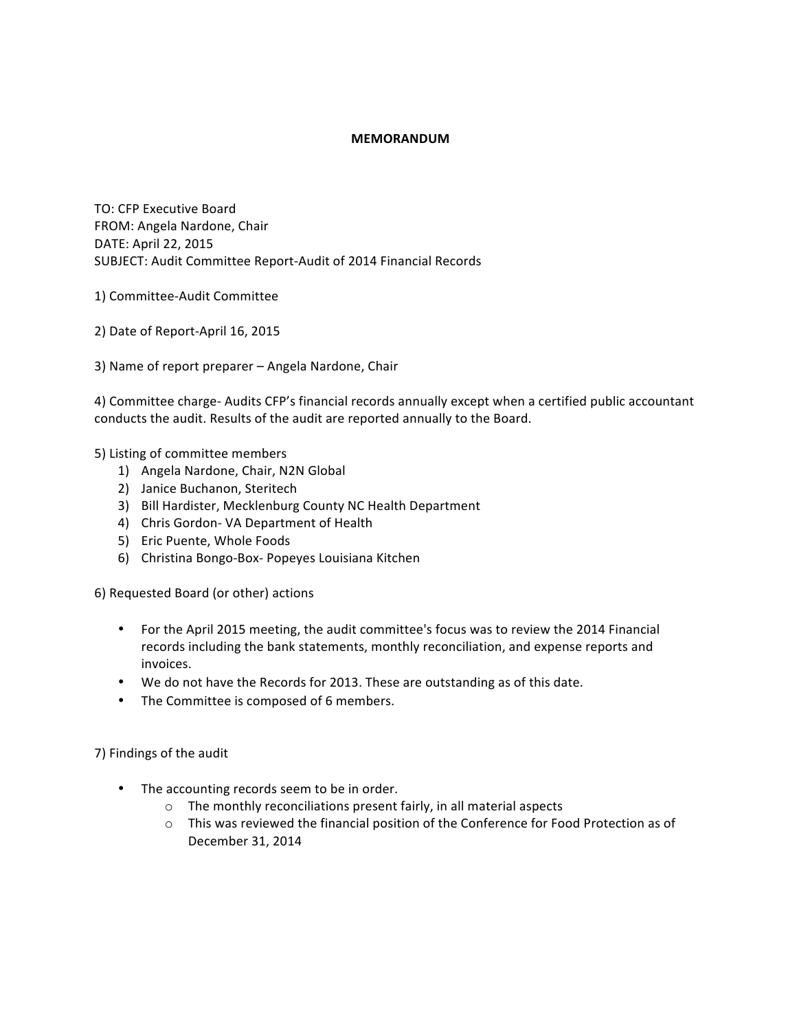## **MEMORANDUM**

TO: CFP Executive Board FROM: Angela Nardone, Chair DATE: April 22, 2015 SUBJECT: Audit Committee Report-Audit of 2014 Financial Records

- 1) Committee-Audit Committee
- 2) Date of Report-April 16, 2015
- 3) Name of report preparer Angela Nardone, Chair

4) Committee charge- Audits CFP's financial records annually except when a certified public accountant conducts the audit. Results of the audit are reported annually to the Board.

5) Listing of committee members

- 1) Angela Nardone, Chair, N2N Global
- 2) Janice Buchanon, Steritech
- 3) Bill Hardister, Mecklenburg County NC Health Department
- 4) Chris Gordon- VA Department of Health
- 5) Eric Puente, Whole Foods
- 6) Christina Bongo-Box- Popeyes Louisiana Kitchen

6) Requested Board (or other) actions

- For the April 2015 meeting, the audit committee's focus was to review the 2014 Financial records including the bank statements, monthly reconciliation, and expense reports and invoices.
- We do not have the Records for 2013. These are outstanding as of this date.
- The Committee is composed of 6 members.

7) Findings of the audit

- The accounting records seem to be in order.
	- $\circ$  The monthly reconciliations present fairly, in all material aspects
	- $\circ$  This was reviewed the financial position of the Conference for Food Protection as of December 31, 2014